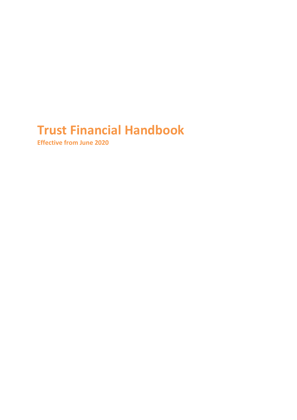# **Trust Financial Handbook**

**Effective from June 2020**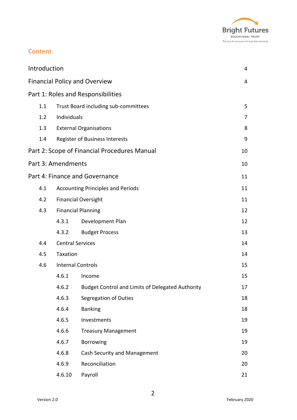

# **Content**

| Introduction<br>4                    |                                    |                                                  |    |  |  |  |
|--------------------------------------|------------------------------------|--------------------------------------------------|----|--|--|--|
| <b>Financial Policy and Overview</b> |                                    |                                                  |    |  |  |  |
|                                      | Part 1: Roles and Responsibilities |                                                  |    |  |  |  |
| 1.1                                  |                                    | Trust Board including sub-committees             |    |  |  |  |
| 1.2                                  | Individuals                        |                                                  | 7  |  |  |  |
| 1.3                                  |                                    | <b>External Organisations</b>                    | 8  |  |  |  |
| 1.4                                  |                                    | <b>Register of Business Interests</b>            |    |  |  |  |
|                                      |                                    | Part 2: Scope of Financial Procedures Manual     | 10 |  |  |  |
|                                      | Part 3: Amendments                 |                                                  | 10 |  |  |  |
|                                      |                                    | Part 4: Finance and Governance                   | 11 |  |  |  |
| 4.1                                  |                                    | <b>Accounting Principles and Periods</b>         | 11 |  |  |  |
| 4.2                                  |                                    | <b>Financial Oversight</b>                       | 11 |  |  |  |
| 4.3                                  | <b>Financial Planning</b>          |                                                  | 12 |  |  |  |
|                                      | 4.3.1                              | Development Plan                                 | 12 |  |  |  |
|                                      | 4.3.2                              | <b>Budget Process</b>                            | 13 |  |  |  |
| 4.4                                  | <b>Central Services</b>            |                                                  | 14 |  |  |  |
| 4.5                                  | Taxation                           |                                                  | 14 |  |  |  |
| 4.6                                  |                                    | <b>Internal Controls</b>                         |    |  |  |  |
|                                      | 4.6.1                              | Income                                           | 15 |  |  |  |
|                                      | 4.6.2                              | Budget Control and Limits of Delegated Authority | 17 |  |  |  |
|                                      | 4.6.3                              | Segregation of Duties                            | 18 |  |  |  |
|                                      | 4.6.4                              | <b>Banking</b>                                   | 18 |  |  |  |
|                                      | 4.6.5                              | Investments                                      | 19 |  |  |  |
|                                      | 4.6.6                              | <b>Treasury Management</b>                       | 19 |  |  |  |
|                                      | 4.6.7                              | Borrowing                                        | 19 |  |  |  |
|                                      | 4.6.8                              | Cash Security and Management                     | 20 |  |  |  |
|                                      | 4.6.9                              | Reconciliation                                   | 20 |  |  |  |
|                                      | 4.6.10                             | Payroll                                          | 21 |  |  |  |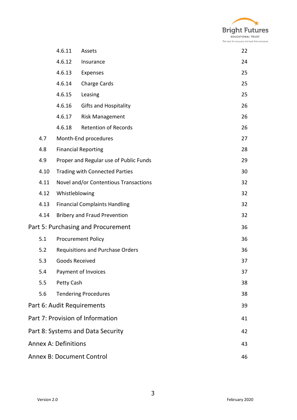

|                                          |                                         | 4.6.11                                        | Assets                                 | 22 |  |  |
|------------------------------------------|-----------------------------------------|-----------------------------------------------|----------------------------------------|----|--|--|
|                                          |                                         | 4.6.12                                        | Insurance                              | 24 |  |  |
|                                          |                                         | 4.6.13                                        | Expenses                               | 25 |  |  |
|                                          |                                         | 4.6.14                                        | Charge Cards                           | 25 |  |  |
|                                          |                                         | 4.6.15                                        | Leasing                                | 25 |  |  |
|                                          |                                         | 4.6.16                                        | <b>Gifts and Hospitality</b>           | 26 |  |  |
|                                          |                                         | 4.6.17                                        | <b>Risk Management</b>                 | 26 |  |  |
|                                          |                                         | 4.6.18                                        | <b>Retention of Records</b>            | 26 |  |  |
|                                          | 4.7                                     |                                               | Month-End procedures                   | 27 |  |  |
|                                          | 4.8                                     |                                               | <b>Financial Reporting</b>             | 28 |  |  |
|                                          | 4.9                                     |                                               | Proper and Regular use of Public Funds | 29 |  |  |
|                                          | 4.10                                    |                                               | <b>Trading with Connected Parties</b>  | 30 |  |  |
|                                          | 4.11                                    |                                               | Novel and/or Contentious Transactions  | 32 |  |  |
|                                          | 4.12                                    | Whistleblowing                                |                                        | 32 |  |  |
|                                          | 4.13                                    | <b>Financial Complaints Handling</b>          |                                        |    |  |  |
|                                          | 4.14                                    | <b>Bribery and Fraud Prevention</b>           |                                        |    |  |  |
| Part 5: Purchasing and Procurement<br>36 |                                         |                                               |                                        |    |  |  |
|                                          | 5.1                                     | <b>Procurement Policy</b><br>36               |                                        |    |  |  |
|                                          | 5.2                                     | 36<br><b>Requisitions and Purchase Orders</b> |                                        |    |  |  |
|                                          | 5.3                                     | Goods Received<br>37                          |                                        |    |  |  |
|                                          | 5.4                                     | Payment of Invoices                           |                                        |    |  |  |
|                                          | 5.5                                     | Petty Cash<br>38                              |                                        |    |  |  |
|                                          | 5.6                                     |                                               | <b>Tendering Procedures</b>            | 38 |  |  |
| Part 6: Audit Requirements               |                                         |                                               |                                        | 39 |  |  |
|                                          | Part 7: Provision of Information<br>41  |                                               |                                        |    |  |  |
|                                          | Part 8: Systems and Data Security<br>42 |                                               |                                        |    |  |  |
|                                          | <b>Annex A: Definitions</b><br>43       |                                               |                                        |    |  |  |
|                                          | <b>Annex B: Document Control</b><br>46  |                                               |                                        |    |  |  |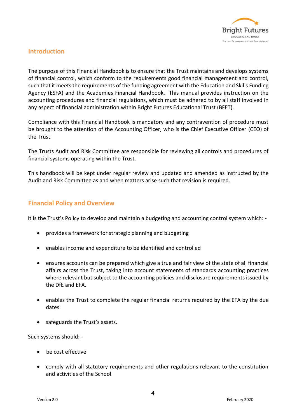

# **Introduction**

The purpose of this Financial Handbook is to ensure that the Trust maintains and develops systems of financial control, which conform to the requirements good financial management and control, such that it meets the requirements of the funding agreement with the Education and Skills Funding Agency (ESFA) and the Academies Financial Handbook. This manual provides instruction on the accounting procedures and financial regulations, which must be adhered to by all staff involved in any aspect of financial administration within Bright Futures Educational Trust (BFET).

Compliance with this Financial Handbook is mandatory and any contravention of procedure must be brought to the attention of the Accounting Officer, who is the Chief Executive Officer (CEO) of the Trust.

The Trusts Audit and Risk Committee are responsible for reviewing all controls and procedures of financial systems operating within the Trust.

This handbook will be kept under regular review and updated and amended as instructed by the Audit and Risk Committee as and when matters arise such that revision is required.

# **Financial Policy and Overview**

It is the Trust's Policy to develop and maintain a budgeting and accounting control system which: -

- provides a framework for strategic planning and budgeting
- enables income and expenditure to be identified and controlled
- ensures accounts can be prepared which give a true and fair view of the state of all financial affairs across the Trust, taking into account statements of standards accounting practices where relevant but subject to the accounting policies and disclosure requirements issued by the DfE and EFA.
- enables the Trust to complete the regular financial returns required by the EFA by the due dates
- safeguards the Trust's assets.

Such systems should: -

- be cost effective
- comply with all statutory requirements and other regulations relevant to the constitution and activities of the School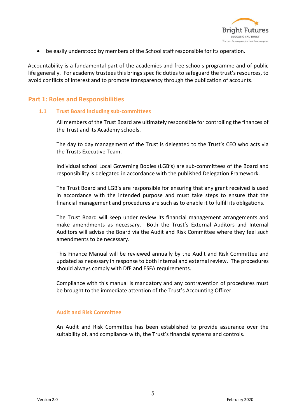

• be easily understood by members of the School staff responsible for its operation.

Accountability is a fundamental part of the academies and free schools programme and of public life generally. For academy trustees this brings specific duties to safeguard the trust's resources, to avoid conflicts of interest and to promote transparency through the publication of accounts.

# **Part 1: Roles and Responsibilities**

## **1.1 Trust Board including sub-committees**

All members of the Trust Board are ultimately responsible for controlling the finances of the Trust and its Academy schools.

The day to day management of the Trust is delegated to the Trust's CEO who acts via the Trusts Executive Team.

Individual school Local Governing Bodies (LGB's) are sub-committees of the Board and responsibility is delegated in accordance with the published Delegation Framework.

The Trust Board and LGB's are responsible for ensuring that any grant received is used in accordance with the intended purpose and must take steps to ensure that the financial management and procedures are such as to enable it to fulfill its obligations.

The Trust Board will keep under review its financial management arrangements and make amendments as necessary. Both the Trust's External Auditors and Internal Auditors will advise the Board via the Audit and Risk Committee where they feel such amendments to be necessary.

This Finance Manual will be reviewed annually by the Audit and Risk Committee and updated as necessary in response to both internal and external review. The procedures should always comply with DfE and ESFA requirements.

Compliance with this manual is mandatory and any contravention of procedures must be brought to the immediate attention of the Trust's Accounting Officer.

## **Audit and Risk Committee**

An Audit and Risk Committee has been established to provide assurance over the suitability of, and compliance with, the Trust's financial systems and controls.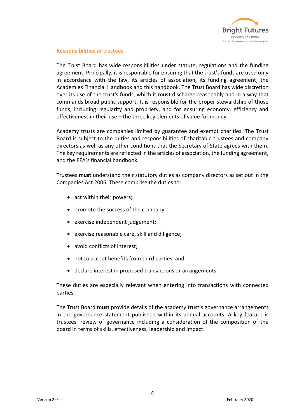

## **Responsibilities of trustees**

The Trust Board has wide responsibilities under statute, regulations and the funding agreement. Principally, it is responsible for ensuring that the trust's funds are used only in accordance with the law, its articles of association, its funding agreement, the Academies Financial Handbook and this handbook. The Trust Board has wide discretion over its use of the trust's funds, which it **must** discharge reasonably and in a way that commands broad public support. It is responsible for the proper stewardship of those funds, including regularity and propriety, and for ensuring economy, efficiency and effectiveness in their use – the three key elements of value for money.

Academy trusts are companies limited by guarantee and exempt charities. The Trust Board is subject to the duties and responsibilities of charitable trustees and company directors as well as any other conditions that the Secretary of State agrees with them. The key requirements are reflected in the articles of association, the funding agreement, and the EFA's financial handbook.

Trustees **must** understand their statutory duties as company directors as set out in the Companies Act 2006. These comprise the duties to:

- act within their powers;
- promote the success of the company;
- exercise independent judgement;
- exercise reasonable care, skill and diligence;
- avoid conflicts of interest;
- not to accept benefits from third parties; and
- declare interest in proposed transactions or arrangements.

These duties are especially relevant when entering into transactions with connected parties.

The Trust Board **must** provide details of the academy trust's governance arrangements in the governance statement published within its annual accounts. A key feature is trustees' review of governance including a consideration of the composition of the board in terms of skills, effectiveness, leadership and impact.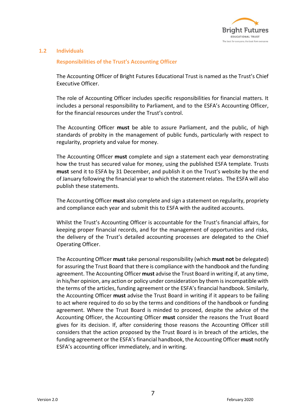

## **1.2 Individuals**

### **Responsibilities of the Trust's Accounting Officer**

The Accounting Officer of Bright Futures Educational Trust is named as the Trust's Chief Executive Officer.

The role of Accounting Officer includes specific responsibilities for financial matters. It includes a personal responsibility to Parliament, and to the ESFA's Accounting Officer, for the financial resources under the Trust's control.

The Accounting Officer **must** be able to assure Parliament, and the public, of high standards of probity in the management of public funds, particularly with respect to regularity, propriety and value for money.

The Accounting Officer **must** complete and sign a statement each year demonstrating how the trust has secured value for money, using the published ESFA template. Trusts **must** send it to ESFA by 31 December, and publish it on the Trust's website by the end of January following the financial year to which the statement relates. The ESFA will also publish these statements.

The Accounting Officer **must** also complete and sign a statement on regularity, propriety and compliance each year and submit this to ESFA with the audited accounts.

Whilst the Trust's Accounting Officer is accountable for the Trust's financial affairs, for keeping proper financial records, and for the management of opportunities and risks, the delivery of the Trust's detailed accounting processes are delegated to the Chief Operating Officer.

The Accounting Officer **must** take personal responsibility (which **must not** be delegated) for assuring the Trust Board that there is compliance with the handbook and the funding agreement. The Accounting Officer **must** advise the Trust Board in writing if, at any time, in his/her opinion, any action or policy under consideration by them is incompatible with the terms of the articles, funding agreement or the ESFA's financial handbook. Similarly, the Accounting Officer **must** advise the Trust Board in writing if it appears to be failing to act where required to do so by the terms and conditions of the handbook or funding agreement. Where the Trust Board is minded to proceed, despite the advice of the Accounting Officer, the Accounting Officer **must** consider the reasons the Trust Board gives for its decision. If, after considering those reasons the Accounting Officer still considers that the action proposed by the Trust Board is in breach of the articles, the funding agreement or the ESFA's financial handbook, the Accounting Officer **must** notify ESFA's accounting officer immediately, and in writing.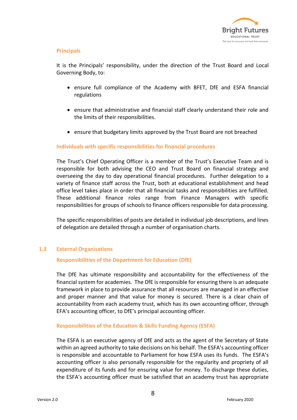

## **Principals**

It is the Principals' responsibility, under the direction of the Trust Board and Local Governing Body, to:

- ensure full compliance of the Academy with BFET, DfE and ESFA financial regulations
- ensure that administrative and financial staff clearly understand their role and the limits of their responsibilities.
- ensure that budgetary limits approved by the Trust Board are not breached

## **Individuals with specific responsibilities for financial procedures**

The Trust's Chief Operating Officer is a member of the Trust's Executive Team and is responsible for both advising the CEO and Trust Board on financial strategy and overseeing the day to day operational financial procedures. Further delegation to a variety of finance staff across the Trust, both at educational establishment and head office level takes place in order that all financial tasks and responsibilities are fulfilled. These additional finance roles range from Finance Managers with specific responsibilities for groups of schools to finance officers responsible for data processing.

The specific responsibilities of posts are detailed in individual job descriptions, and lines of delegation are detailed through a number of organisation charts.

## **1.3 External Organisations**

## **Responsibilities of the Department for Education (DfE)**

The DfE has ultimate responsibility and accountability for the effectiveness of the financial system for academies. The DfE is responsible for ensuring there is an adequate framework in place to provide assurance that all resources are managed in an effective and proper manner and that value for money is secured. There is a clear chain of accountability from each academy trust, which has its own accounting officer, through EFA's accounting officer, to DfE's principal accounting officer.

## **Responsibilities of the Education & Skills Funding Agency (ESFA)**

The ESFA is an executive agency of DfE and acts as the agent of the Secretary of State within an agreed authority to take decisions on his behalf. The ESFA's accounting officer is responsible and accountable to Parliament for how ESFA uses its funds. The ESFA's accounting officer is also personally responsible for the regularity and propriety of all expenditure of its funds and for ensuring value for money. To discharge these duties, the ESFA's accounting officer must be satisfied that an academy trust has appropriate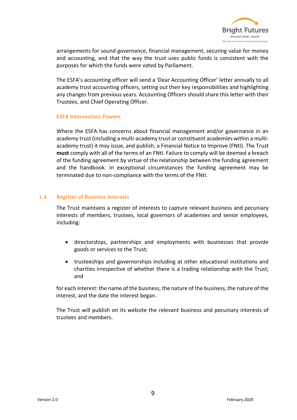

arrangements for sound governance, financial management, securing value for money and accounting, and that the way the trust uses public funds is consistent with the purposes for which the funds were voted by Parliament.

The ESFA's accounting officer will send a 'Dear Accounting Officer' letter annually to all academy trust accounting officers, setting out their key responsibilities and highlighting any changes from previous years. Accounting Officers should share this letter with their Trustees, and Chief Operating Officer.

#### **ESFA Intervention Powers**

Where the ESFA has concerns about financial management and/or governance in an academy trust (including a multi-academy trust or constituent academies within a multiacademy trust) it may issue, and publish, a Financial Notice to Improve (FNtI). The Trust **must** comply with all of the terms of an FNtI. Failure to comply will be deemed a breach of the funding agreement by virtue of the relationship between the funding agreement and the handbook. In exceptional circumstances the funding agreement may be terminated due to non-compliance with the terms of the FNtI.

## **1.4 Register of Business Interests**

The Trust maintains a register of interests to capture relevant business and pecuniary interests of members, trustees, local governors of academies and senior employees, including:

- directorships, partnerships and employments with businesses that provide goods or services to the Trust;
- trusteeships and governorships including at other educational institutions and charities irrespective of whether there is a trading relationship with the Trust; and

for each interest: the name of the business, the nature of the business, the nature of the interest, and the date the interest began.

The Trust will publish on its website the relevant business and pecuniary interests of trustees and members.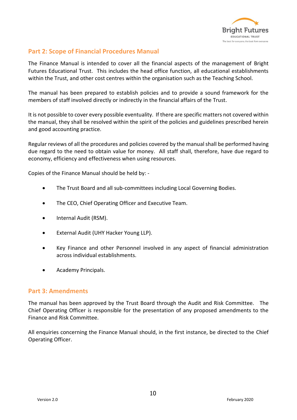

# **Part 2: Scope of Financial Procedures Manual**

The Finance Manual is intended to cover all the financial aspects of the management of Bright Futures Educational Trust. This includes the head office function, all educational establishments within the Trust, and other cost centres within the organisation such as the Teaching School.

The manual has been prepared to establish policies and to provide a sound framework for the members of staff involved directly or indirectly in the financial affairs of the Trust.

It is not possible to cover every possible eventuality. If there are specific matters not covered within the manual, they shall be resolved within the spirit of the policies and guidelines prescribed herein and good accounting practice.

Regular reviews of all the procedures and policies covered by the manual shall be performed having due regard to the need to obtain value for money. All staff shall, therefore, have due regard to economy, efficiency and effectiveness when using resources.

Copies of the Finance Manual should be held by: -

- The Trust Board and all sub-committees including Local Governing Bodies.
- The CEO, Chief Operating Officer and Executive Team.
- Internal Audit (RSM).
- External Audit (UHY Hacker Young LLP).
- Key Finance and other Personnel involved in any aspect of financial administration across individual establishments.
- Academy Principals.

## **Part 3: Amendments**

The manual has been approved by the Trust Board through the Audit and Risk Committee. The Chief Operating Officer is responsible for the presentation of any proposed amendments to the Finance and Risk Committee.

All enquiries concerning the Finance Manual should, in the first instance, be directed to the Chief Operating Officer.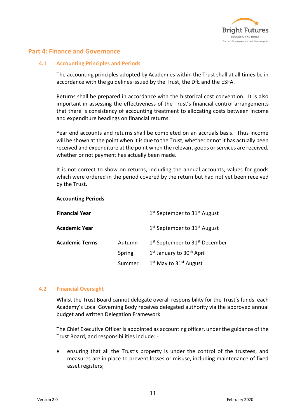

## **Part 4: Finance and Governance**

## **4.1 Accounting Principles and Periods**

The accounting principles adopted by Academies within the Trust shall at all times be in accordance with the guidelines issued by the Trust, the DfE and the ESFA.

Returns shall be prepared in accordance with the historical cost convention. It is also important in assessing the effectiveness of the Trust's financial control arrangements that there is consistency of accounting treatment to allocating costs between income and expenditure headings on financial returns.

Year end accounts and returns shall be completed on an accruals basis. Thus income will be shown at the point when it is due to the Trust, whether or not it has actually been received and expenditure at the point when the relevant goods or services are received, whether or not payment has actually been made.

It is not correct to show on returns, including the annual accounts, values for goods which were ordered in the period covered by the return but had not yet been received by the Trust.

### **Accounting Periods**

| <b>Financial Year</b> |        | 1 <sup>st</sup> September to 31 <sup>st</sup> August   |
|-----------------------|--------|--------------------------------------------------------|
| <b>Academic Year</b>  |        | 1 <sup>st</sup> September to 31 <sup>st</sup> August   |
| <b>Academic Terms</b> | Autumn | 1 <sup>st</sup> September to 31 <sup>st</sup> December |
|                       | Spring | 1 <sup>st</sup> January to 30 <sup>th</sup> April      |
|                       | Summer | $1st$ May to $31st$ August                             |
|                       |        |                                                        |

## **4.2 Financial Oversight**

Whilst the Trust Board cannot delegate overall responsibility for the Trust's funds, each Academy's Local Governing Body receives delegated authority via the approved annual budget and written Delegation Framework.

The Chief Executive Officer is appointed as accounting officer, under the guidance of the Trust Board, and responsibilities include: -

• ensuring that all the Trust's property is under the control of the trustees, and measures are in place to prevent losses or misuse, including maintenance of fixed asset registers;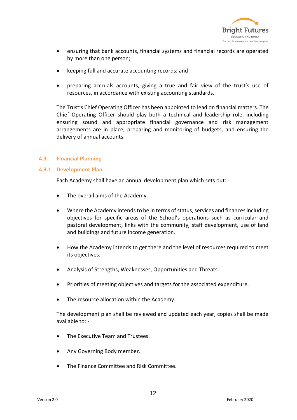

- ensuring that bank accounts, financial systems and financial records are operated by more than one person;
- keeping full and accurate accounting records; and
- preparing accruals accounts, giving a true and fair view of the trust's use of resources, in accordance with existing accounting standards.

The Trust's Chief Operating Officer has been appointed to lead on financial matters. The Chief Operating Officer should play both a technical and leadership role, including ensuring sound and appropriate financial governance and risk management arrangements are in place, preparing and monitoring of budgets, and ensuring the delivery of annual accounts.

## **4.3 Financial Planning**

### **4.3.1 Development Plan**

Each Academy shall have an annual development plan which sets out: -

- The overall aims of the Academy.
- Where the Academy intends to be in terms of status, services and finances including objectives for specific areas of the School's operations such as curricular and pastoral development, links with the community, staff development, use of land and buildings and future income generation.
- How the Academy intends to get there and the level of resources required to meet its objectives.
- Analysis of Strengths, Weaknesses, Opportunities and Threats.
- Priorities of meeting objectives and targets for the associated expenditure.
- The resource allocation within the Academy.

The development plan shall be reviewed and updated each year, copies shall be made available to: -

- The Executive Team and Trustees.
- Any Governing Body member.
- The Finance Committee and Risk Committee.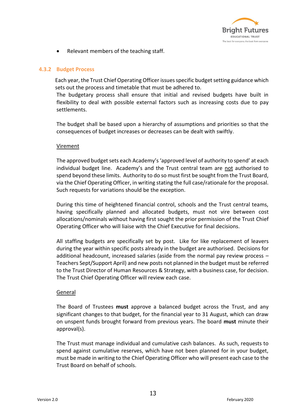

• Relevant members of the teaching staff.

## **4.3.2 Budget Process**

Each year, the Trust Chief Operating Officer issues specific budget setting guidance which sets out the process and timetable that must be adhered to.

The budgetary process shall ensure that initial and revised budgets have built in flexibility to deal with possible external factors such as increasing costs due to pay settlements.

The budget shall be based upon a hierarchy of assumptions and priorities so that the consequences of budget increases or decreases can be dealt with swiftly.

## Virement

The approved budget sets each Academy's 'approved level of authority to spend' at each individual budget line. Academy's and the Trust central team are not authorised to spend beyond these limits. Authority to do so must first be sought from the Trust Board, via the Chief Operating Officer, in writing stating the full case/rationale for the proposal. Such requests for variations should be the exception.

During this time of heightened financial control, schools and the Trust central teams, having specifically planned and allocated budgets, must not vire between cost allocations/nominals without having first sought the prior permission of the Trust Chief Operating Officer who will liaise with the Chief Executive for final decisions.

All staffing budgets are specifically set by post. Like for like replacement of leavers during the year within specific posts already in the budget are authorised. Decisions for additional headcount, increased salaries (aside from the normal pay review process – Teachers Sept/Support April) and new posts not planned in the budget must be referred to the Trust Director of Human Resources & Strategy, with a business case, for decision. The Trust Chief Operating Officer will review each case.

## General

The Board of Trustees **must** approve a balanced budget across the Trust, and any significant changes to that budget, for the financial year to 31 August, which can draw on unspent funds brought forward from previous years. The board **must** minute their approval(s).

The Trust must manage individual and cumulative cash balances. As such, requests to spend against cumulative reserves, which have not been planned for in your budget, must be made in writing to the Chief Operating Officer who will present each case to the Trust Board on behalf of schools.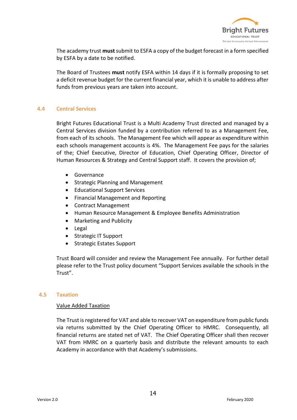

The academy trust **must** submit to ESFA a copy of the budget forecast in a form specified by ESFA by a date to be notified.

The Board of Trustees **must** notify ESFA within 14 days if it is formally proposing to set a deficit revenue budget for the current financial year, which it is unable to address after funds from previous years are taken into account.

## **4.4 Central Services**

Bright Futures Educational Trust is a Multi Academy Trust directed and managed by a Central Services division funded by a contribution referred to as a Management Fee, from each of its schools. The Management Fee which will appear as expenditure within each schools management accounts is 4%. The Management Fee pays for the salaries of the; Chief Executive, Director of Education, Chief Operating Officer, Director of Human Resources & Strategy and Central Support staff. It covers the provision of;

- Governance
- Strategic Planning and Management
- Educational Support Services
- Financial Management and Reporting
- Contract Management
- Human Resource Management & Employee Benefits Administration
- Marketing and Publicity
- Legal
- Strategic IT Support
- Strategic Estates Support

Trust Board will consider and review the Management Fee annually. For further detail please refer to the Trust policy document "Support Services available the schools in the Trust".

#### **4.5 Taxation**

## Value Added Taxation

The Trust is registered for VAT and able to recover VAT on expenditure from public funds via returns submitted by the Chief Operating Officer to HMRC. Consequently, all financial returns are stated net of VAT. The Chief Operating Officer shall then recover VAT from HMRC on a quarterly basis and distribute the relevant amounts to each Academy in accordance with that Academy's submissions.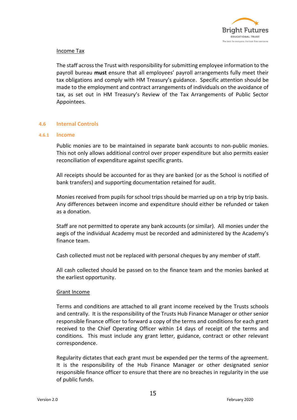

## Income Tax

The staff across the Trust with responsibility for submitting employee information to the payroll bureau **must** ensure that all employees' payroll arrangements fully meet their tax obligations and comply with HM Treasury's guidance. Specific attention should be made to the employment and contract arrangements of individuals on the avoidance of tax, as set out in HM Treasury's Review of the Tax Arrangements of Public Sector Appointees.

### **4.6 Internal Controls**

#### **4.6.1 Income**

Public monies are to be maintained in separate bank accounts to non-public monies. This not only allows additional control over proper expenditure but also permits easier reconciliation of expenditure against specific grants.

All receipts should be accounted for as they are banked (or as the School is notified of bank transfers) and supporting documentation retained for audit.

Monies received from pupils for school trips should be married up on a trip by trip basis. Any differences between income and expenditure should either be refunded or taken as a donation.

Staff are not permitted to operate any bank accounts (or similar). All monies under the aegis of the individual Academy must be recorded and administered by the Academy's finance team.

Cash collected must not be replaced with personal cheques by any member of staff.

All cash collected should be passed on to the finance team and the monies banked at the earliest opportunity.

#### Grant Income

Terms and conditions are attached to all grant income received by the Trusts schools and centrally. It is the responsibility of the Trusts Hub Finance Manager or other senior responsible finance officer to forward a copy of the terms and conditions for each grant received to the Chief Operating Officer within 14 days of receipt of the terms and conditions. This must include any grant letter, guidance, contract or other relevant correspondence.

Regularity dictates that each grant must be expended per the terms of the agreement. It is the responsibility of the Hub Finance Manager or other designated senior responsible finance officer to ensure that there are no breaches in regularity in the use of public funds.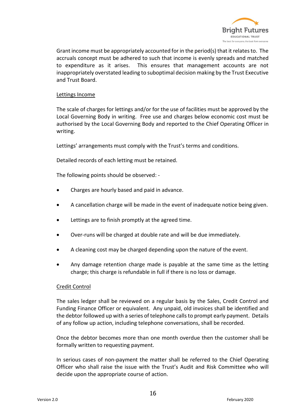

Grant income must be appropriately accounted for in the period(s) that it relates to. The accruals concept must be adhered to such that income is evenly spreads and matched to expenditure as it arises. This ensures that management accounts are not inappropriately overstated leading to suboptimal decision making by the Trust Executive and Trust Board.

## Lettings Income

The scale of charges for lettings and/or for the use of facilities must be approved by the Local Governing Body in writing. Free use and charges below economic cost must be authorised by the Local Governing Body and reported to the Chief Operating Officer in writing.

Lettings' arrangements must comply with the Trust's terms and conditions.

Detailed records of each letting must be retained.

The following points should be observed: -

- Charges are hourly based and paid in advance.
- A cancellation charge will be made in the event of inadequate notice being given.
- Lettings are to finish promptly at the agreed time.
- Over-runs will be charged at double rate and will be due immediately.
- A cleaning cost may be charged depending upon the nature of the event.
- Any damage retention charge made is payable at the same time as the letting charge; this charge is refundable in full if there is no loss or damage.

## Credit Control

The sales ledger shall be reviewed on a regular basis by the Sales, Credit Control and Funding Finance Officer or equivalent. Any unpaid, old invoices shall be identified and the debtor followed up with a series of telephone calls to prompt early payment. Details of any follow up action, including telephone conversations, shall be recorded.

Once the debtor becomes more than one month overdue then the customer shall be formally written to requesting payment.

In serious cases of non-payment the matter shall be referred to the Chief Operating Officer who shall raise the issue with the Trust's Audit and Risk Committee who will decide upon the appropriate course of action.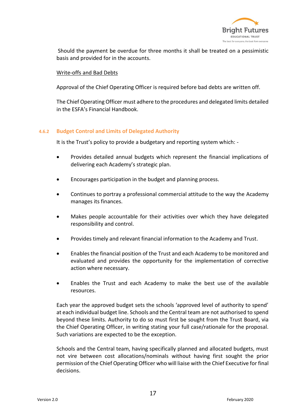

Should the payment be overdue for three months it shall be treated on a pessimistic basis and provided for in the accounts.

## Write-offs and Bad Debts

Approval of the Chief Operating Officer is required before bad debts are written off.

The Chief Operating Officer must adhere to the procedures and delegated limits detailed in the ESFA's Financial Handbook.

## **4.6.2 Budget Control and Limits of Delegated Authority**

It is the Trust's policy to provide a budgetary and reporting system which: -

- Provides detailed annual budgets which represent the financial implications of delivering each Academy's strategic plan.
- Encourages participation in the budget and planning process.
- Continues to portray a professional commercial attitude to the way the Academy manages its finances.
- Makes people accountable for their activities over which they have delegated responsibility and control.
- Provides timely and relevant financial information to the Academy and Trust.
- Enables the financial position of the Trust and each Academy to be monitored and evaluated and provides the opportunity for the implementation of corrective action where necessary.
- Enables the Trust and each Academy to make the best use of the available resources.

Each year the approved budget sets the schools 'approved level of authority to spend' at each individual budget line. Schools and the Central team are not authorised to spend beyond these limits. Authority to do so must first be sought from the Trust Board, via the Chief Operating Officer, in writing stating your full case/rationale for the proposal. Such variations are expected to be the exception.

Schools and the Central team, having specifically planned and allocated budgets, must not vire between cost allocations/nominals without having first sought the prior permission of the Chief Operating Officer who will liaise with the Chief Executive for final decisions.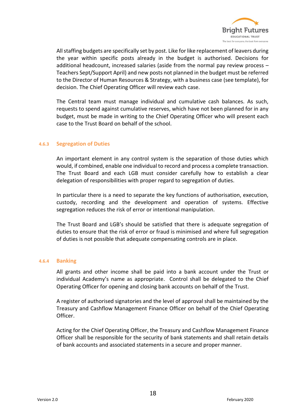

All staffing budgets are specifically set by post. Like for like replacement of leavers during the year within specific posts already in the budget is authorised. Decisions for additional headcount, increased salaries (aside from the normal pay review process – Teachers Sept/Support April) and new posts not planned in the budget must be referred to the Director of Human Resources & Strategy, with a business case (see template), for decision. The Chief Operating Officer will review each case.

The Central team must manage individual and cumulative cash balances. As such, requests to spend against cumulative reserves, which have not been planned for in any budget, must be made in writing to the Chief Operating Officer who will present each case to the Trust Board on behalf of the school.

### **4.6.3 Segregation of Duties**

An important element in any control system is the separation of those duties which would, if combined, enable one individual to record and process a complete transaction. The Trust Board and each LGB must consider carefully how to establish a clear delegation of responsibilities with proper regard to segregation of duties.

In particular there is a need to separate the key functions of authorisation, execution, custody, recording and the development and operation of systems. Effective segregation reduces the risk of error or intentional manipulation.

The Trust Board and LGB's should be satisfied that there is adequate segregation of duties to ensure that the risk of error or fraud is minimised and where full segregation of duties is not possible that adequate compensating controls are in place.

#### **4.6.4 Banking**

All grants and other income shall be paid into a bank account under the Trust or individual Academy's name as appropriate. Control shall be delegated to the Chief Operating Officer for opening and closing bank accounts on behalf of the Trust.

A register of authorised signatories and the level of approval shall be maintained by the Treasury and Cashflow Management Finance Officer on behalf of the Chief Operating Officer.

Acting for the Chief Operating Officer, the Treasury and Cashflow Management Finance Officer shall be responsible for the security of bank statements and shall retain details of bank accounts and associated statements in a secure and proper manner.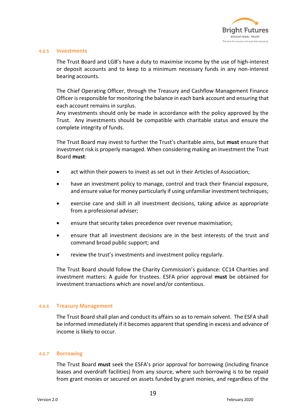

#### **4.6.5 Investments**

The Trust Board and LGB's have a duty to maximise income by the use of high-interest or deposit accounts and to keep to a minimum necessary funds in any non-interest bearing accounts.

The Chief Operating Officer, through the Treasury and Cashflow Management Finance Officer is responsible for monitoring the balance in each bank account and ensuring that each account remains in surplus.

Any investments should only be made in accordance with the policy approved by the Trust. Any investments should be compatible with charitable status and ensure the complete integrity of funds.

The Trust Board may invest to further the Trust's charitable aims, but **must** ensure that investment risk is properly managed. When considering making an investment the Trust Board **must**:

- act within their powers to invest as set out in their Articles of Association;
- have an investment policy to manage, control and track their financial exposure, and ensure value for money particularly if using unfamiliar investment techniques;
- exercise care and skill in all investment decisions, taking advice as appropriate from a professional adviser;
- ensure that security takes precedence over revenue maximisation;
- ensure that all investment decisions are in the best interests of the trust and command broad public support; and
- review the trust's investments and investment policy regularly.

The Trust Board should follow the Charity Commission's guidance: CC14 Charities and investment matters: A guide for trustees. ESFA prior approval **must** be obtained for investment transactions which are novel and/or contentious.

#### **4.6.6 Treasury Management**

The Trust Board shall plan and conduct its affairs so as to remain solvent. The ESFA shall be informed immediately if it becomes apparent that spending in excess and advance of income is likely to occur.

#### **4.6.7 Borrowing**

The Trust Board **must** seek the ESFA's prior approval for borrowing (including finance leases and overdraft facilities) from any source, where such borrowing is to be repaid from grant monies or secured on assets funded by grant monies, and regardless of the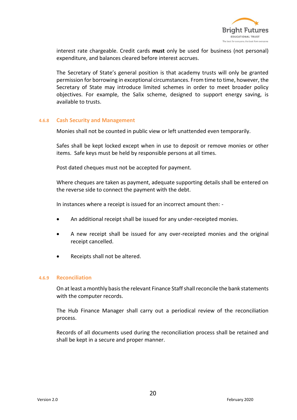

interest rate chargeable. Credit cards **must** only be used for business (not personal) expenditure, and balances cleared before interest accrues.

The Secretary of State's general position is that academy trusts will only be granted permission for borrowing in exceptional circumstances. From time to time, however, the Secretary of State may introduce limited schemes in order to meet broader policy objectives. For example, the Salix scheme, designed to support energy saving, is available to trusts.

#### **4.6.8 Cash Security and Management**

Monies shall not be counted in public view or left unattended even temporarily.

Safes shall be kept locked except when in use to deposit or remove monies or other items. Safe keys must be held by responsible persons at all times.

Post dated cheques must not be accepted for payment.

Where cheques are taken as payment, adequate supporting details shall be entered on the reverse side to connect the payment with the debt.

In instances where a receipt is issued for an incorrect amount then: -

- An additional receipt shall be issued for any under-receipted monies.
- A new receipt shall be issued for any over-receipted monies and the original receipt cancelled.
- Receipts shall not be altered.

#### **4.6.9 Reconciliation**

On at least a monthly basis the relevant Finance Staff shall reconcile the bank statements with the computer records.

The Hub Finance Manager shall carry out a periodical review of the reconciliation process.

Records of all documents used during the reconciliation process shall be retained and shall be kept in a secure and proper manner.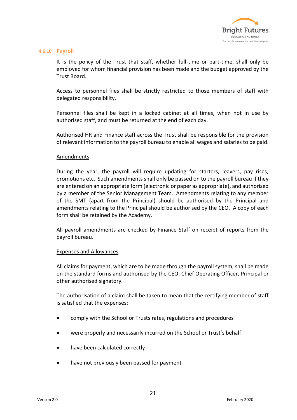

#### **4.6.10 Payroll**

It is the policy of the Trust that staff, whether full-time or part-time, shall only be employed for whom financial provision has been made and the budget approved by the Trust Board.

Access to personnel files shall be strictly restricted to those members of staff with delegated responsibility.

Personnel files shall be kept in a locked cabinet at all times, when not in use by authorised staff, and must be returned at the end of each day.

Authorised HR and Finance staff across the Trust shall be responsible for the provision of relevant information to the payroll bureau to enable all wages and salaries to be paid.

### Amendments

During the year, the payroll will require updating for starters, leavers, pay rises, promotions etc. Such amendments shall only be passed on to the payroll bureau if they are entered on an appropriate form (electronic or paper as appropriate), and authorised by a member of the Senior Management Team. Amendments relating to any member of the SMT (apart from the Principal) should be authorised by the Principal and amendments relating to the Principal should be authorised by the CEO. A copy of each form shall be retained by the Academy.

All payroll amendments are checked by Finance Staff on receipt of reports from the payroll bureau.

## Expenses and Allowances

All claims for payment, which are to be made through the payroll system, shall be made on the standard forms and authorised by the CEO, Chief Operating Officer, Principal or other authorised signatory.

The authorisation of a claim shall be taken to mean that the certifying member of staff is satisfied that the expenses:

- comply with the School or Trusts rates, regulations and procedures
- were properly and necessarily incurred on the School or Trust's behalf
- have been calculated correctly
- have not previously been passed for payment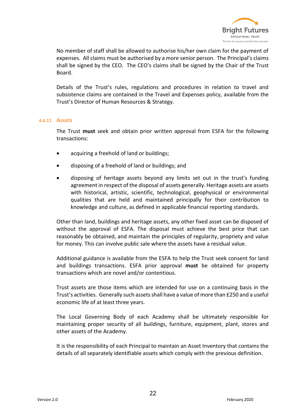

No member of staff shall be allowed to authorise his/her own claim for the payment of expenses. All claims must be authorised by a more senior person. The Principal's claims shall be signed by the CEO. The CEO's claims shall be signed by the Chair of the Trust Board.

Details of the Trust's rules, regulations and procedures in relation to travel and subsistence claims are contained in the Travel and Expenses policy, available from the Trust's Director of Human Resources & Strategy.

#### **4.6.11 Assets**

The Trust **must** seek and obtain prior written approval from ESFA for the following transactions:

- acquiring a freehold of land or buildings;
- disposing of a freehold of land or buildings; and
- disposing of heritage assets beyond any limits set out in the trust's funding agreement in respect of the disposal of assets generally. Heritage assets are assets with historical, artistic, scientific, technological, geophysical or environmental qualities that are held and maintained principally for their contribution to knowledge and culture, as defined in applicable financial reporting standards.

Other than land, buildings and heritage assets, any other fixed asset can be disposed of without the approval of ESFA. The disposal must achieve the best price that can reasonably be obtained, and maintain the principles of regularity, propriety and value for money. This can involve public sale where the assets have a residual value.

Additional guidance is available from the ESFA to help the Trust seek consent for land and buildings transactions. ESFA prior approval **must** be obtained for property transactions which are novel and/or contentious.

Trust assets are those items which are intended for use on a continuing basis in the Trust's activities. Generally such assets shall have a value of more than £250 and a useful economic life of at least three years.

The Local Governing Body of each Academy shall be ultimately responsible for maintaining proper security of all buildings, furniture, equipment, plant, stores and other assets of the Academy.

It is the responsibility of each Principal to maintain an Asset Inventory that contains the details of all separately identifiable assets which comply with the previous definition.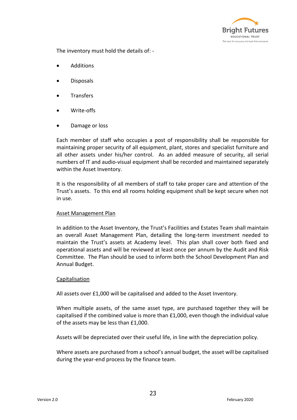

The inventory must hold the details of: -

- Additions
- Disposals
- **Transfers**
- Write-offs
- Damage or loss

Each member of staff who occupies a post of responsibility shall be responsible for maintaining proper security of all equipment, plant, stores and specialist furniture and all other assets under his/her control. As an added measure of security, all serial numbers of IT and audio-visual equipment shall be recorded and maintained separately within the Asset Inventory.

It is the responsibility of all members of staff to take proper care and attention of the Trust's assets. To this end all rooms holding equipment shall be kept secure when not in use.

## Asset Management Plan

In addition to the Asset Inventory, the Trust's Facilities and Estates Team shall maintain an overall Asset Management Plan, detailing the long-term investment needed to maintain the Trust's assets at Academy level. This plan shall cover both fixed and operational assets and will be reviewed at least once per annum by the Audit and Risk Committee. The Plan should be used to inform both the School Development Plan and Annual Budget.

## Capitalisation

All assets over £1,000 will be capitalised and added to the Asset Inventory.

When multiple assets, of the same asset type, are purchased together they will be capitalised if the combined value is more than £1,000, even though the individual value of the assets may be less than £1,000.

Assets will be depreciated over their useful life, in line with the depreciation policy.

Where assets are purchased from a school's annual budget, the asset will be capitalised during the year-end process by the finance team.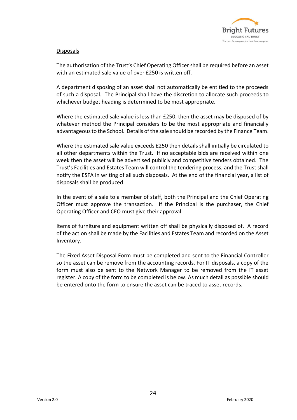

## Disposals

The authorisation of the Trust's Chief Operating Officer shall be required before an asset with an estimated sale value of over £250 is written off.

A department disposing of an asset shall not automatically be entitled to the proceeds of such a disposal. The Principal shall have the discretion to allocate such proceeds to whichever budget heading is determined to be most appropriate.

Where the estimated sale value is less than £250, then the asset may be disposed of by whatever method the Principal considers to be the most appropriate and financially advantageous to the School. Details of the sale should be recorded by the Finance Team.

Where the estimated sale value exceeds £250 then details shall initially be circulated to all other departments within the Trust. If no acceptable bids are received within one week then the asset will be advertised publicly and competitive tenders obtained. The Trust's Facilities and Estates Team will control the tendering process, and the Trust shall notify the ESFA in writing of all such disposals. At the end of the financial year, a list of disposals shall be produced.

In the event of a sale to a member of staff, both the Principal and the Chief Operating Officer must approve the transaction. If the Principal is the purchaser, the Chief Operating Officer and CEO must give their approval.

Items of furniture and equipment written off shall be physically disposed of. A record of the action shall be made by the Facilities and Estates Team and recorded on the Asset Inventory.

The Fixed Asset Disposal Form must be completed and sent to the Financial Controller so the asset can be remove from the accounting records. For IT disposals, a copy of the form must also be sent to the Network Manager to be removed from the IT asset register. A copy of the form to be completed is below. As much detail as possible should be entered onto the form to ensure the asset can be traced to asset records.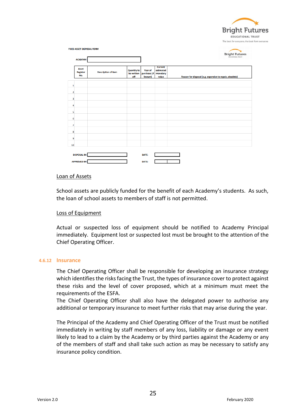

|                | <b>FIXED ASSET DISPOSAL FORM</b><br><b>ACADEMY:</b> |                            |                                         |                                   |                                                  | <b>Bright Futures</b><br>EDUCATIONAL TRUST               |
|----------------|-----------------------------------------------------|----------------------------|-----------------------------------------|-----------------------------------|--------------------------------------------------|----------------------------------------------------------|
|                | <b>Asset</b><br><b>Register</b><br>No.              | <b>Description of item</b> | <b>Quantity to</b><br>be written<br>off | Year of<br>purchase (if<br>known) | <b>Current</b><br>estimated<br>monetary<br>value | Reason for disposal (e.g. expensive to repair, obsolete) |
| 1              |                                                     |                            |                                         |                                   |                                                  |                                                          |
| $\overline{2}$ |                                                     |                            |                                         |                                   |                                                  |                                                          |
| 3              |                                                     |                            |                                         |                                   |                                                  |                                                          |
| 4              |                                                     |                            |                                         |                                   |                                                  |                                                          |
| 5              |                                                     |                            |                                         |                                   |                                                  |                                                          |
| 6              |                                                     |                            |                                         |                                   |                                                  |                                                          |
| $\overline{7}$ |                                                     |                            |                                         |                                   |                                                  |                                                          |
| 8              |                                                     |                            |                                         |                                   |                                                  |                                                          |
| 9              |                                                     |                            |                                         |                                   |                                                  |                                                          |
| 10             |                                                     |                            |                                         |                                   |                                                  |                                                          |
|                | <b>DISPOSAL BY:</b><br><b>APPROVED BY:</b>          |                            |                                         | <b>DATE:</b><br><b>DATE:</b>      |                                                  |                                                          |

#### Loan of Assets

School assets are publicly funded for the benefit of each Academy's students. As such, the loan of school assets to members of staff is not permitted.

## Loss of Equipment

Actual or suspected loss of equipment should be notified to Academy Principal immediately. Equipment lost or suspected lost must be brought to the attention of the Chief Operating Officer.

#### **4.6.12 Insurance**

The Chief Operating Officer shall be responsible for developing an insurance strategy which identifies the risks facing the Trust, the types of insurance cover to protect against these risks and the level of cover proposed, which at a minimum must meet the requirements of the ESFA.

The Chief Operating Officer shall also have the delegated power to authorise any additional or temporary insurance to meet further risks that may arise during the year.

The Principal of the Academy and Chief Operating Officer of the Trust must be notified immediately in writing by staff members of any loss, liability or damage or any event likely to lead to a claim by the Academy or by third parties against the Academy or any of the members of staff and shall take such action as may be necessary to satisfy any insurance policy condition.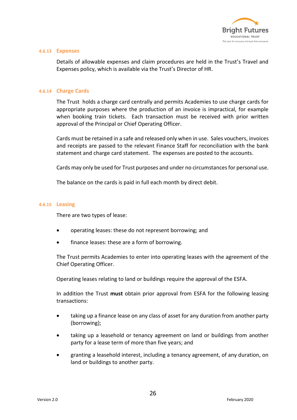

#### **4.6.13 Expenses**

Details of allowable expenses and claim procedures are held in the Trust's Travel and Expenses policy, which is available via the Trust's Director of HR.

#### **4.6.14 Charge Cards**

The Trust holds a charge card centrally and permits Academies to use charge cards for appropriate purposes where the production of an invoice is impractical, for example when booking train tickets. Each transaction must be received with prior written approval of the Principal or Chief Operating Officer.

Cards must be retained in a safe and released only when in use. Sales vouchers, invoices and receipts are passed to the relevant Finance Staff for reconciliation with the bank statement and charge card statement. The expenses are posted to the accounts.

Cards may only be used for Trust purposes and under no circumstances for personal use.

The balance on the cards is paid in full each month by direct debit.

#### **4.6.15 Leasing**

There are two types of lease:

- operating leases: these do not represent borrowing; and
- finance leases: these are a form of borrowing.

The Trust permits Academies to enter into operating leases with the agreement of the Chief Operating Officer.

Operating leases relating to land or buildings require the approval of the ESFA.

In addition the Trust **must** obtain prior approval from ESFA for the following leasing transactions:

- taking up a finance lease on any class of asset for any duration from another party (borrowing);
- taking up a leasehold or tenancy agreement on land or buildings from another party for a lease term of more than five years; and
- granting a leasehold interest, including a tenancy agreement, of any duration, on land or buildings to another party.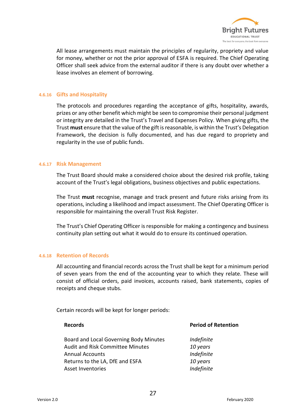

All lease arrangements must maintain the principles of regularity, propriety and value for money, whether or not the prior approval of ESFA is required. The Chief Operating Officer shall seek advice from the external auditor if there is any doubt over whether a lease involves an element of borrowing.

### **4.6.16 Gifts and Hospitality**

The protocols and procedures regarding the acceptance of gifts, hospitality, awards, prizes or any other benefit which might be seen to compromise their personal judgment or integrity are detailed in the Trust's Travel and Expenses Policy. When giving gifts, the Trust **must** ensure that the value of the gift is reasonable, is within the Trust's Delegation Framework, the decision is fully documented, and has due regard to propriety and regularity in the use of public funds.

### **4.6.17 Risk Management**

The Trust Board should make a considered choice about the desired risk profile, taking account of the Trust's legal obligations, business objectives and public expectations.

The Trust **must** recognise, manage and track present and future risks arising from its operations, including a likelihood and impact assessment. The Chief Operating Officer is responsible for maintaining the overall Trust Risk Register.

The Trust's Chief Operating Officer is responsible for making a contingency and business continuity plan setting out what it would do to ensure its continued operation.

#### **4.6.18 Retention of Records**

All accounting and financial records across the Trust shall be kept for a minimum period of seven years from the end of the accounting year to which they relate. These will consist of official orders, paid invoices, accounts raised, bank statements, copies of receipts and cheque stubs.

Certain records will be kept for longer periods:

# **Records Period of Retention** Board and Local Governing Body Minutes *Indefinite* Audit and Risk Committee Minutes *10 years* Annual Accounts *Indefinite* Returns to the LA, DfE and ESFA *10 years* Asset Inventories *Indefinite*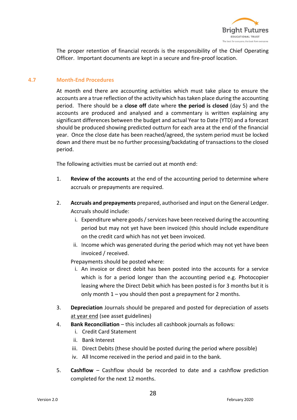

The proper retention of financial records is the responsibility of the Chief Operating Officer. Important documents are kept in a secure and fire-proof location.

## **4.7 Month-End Procedures**

At month end there are accounting activities which must take place to ensure the accounts are a true reflection of the activity which has taken place during the accounting period. There should be a **close off** date where **the period is closed** (day 5) and the accounts are produced and analysed and a commentary is written explaining any significant differences between the budget and actual Year to Date (YTD) and a forecast should be produced showing predicted outturn for each area at the end of the financial year. Once the close date has been reached/agreed, the system period must be locked down and there must be no further processing/backdating of transactions to the closed period.

The following activities must be carried out at month end:

- 1. **Review of the accounts** at the end of the accounting period to determine where accruals or prepayments are required.
- 2. **Accruals and prepayments** prepared, authorised and input on the General Ledger. Accruals should include:
	- i. Expenditure where goods / services have been received during the accounting period but may not yet have been invoiced (this should include expenditure on the credit card which has not yet been invoiced.
	- ii. Income which was generated during the period which may not yet have been invoiced / received.

Prepayments should be posted where:

- i. An invoice or direct debit has been posted into the accounts for a service which is for a period longer than the accounting period e.g. Photocopier leasing where the Direct Debit which has been posted is for 3 months but it is only month  $1 -$  you should then post a prepayment for 2 months.
- 3. **Depreciation** Journals should be prepared and posted for depreciation of assets at year end (see asset guidelines)
- 4. **Bank Reconciliation** this includes all cashbook journals as follows:
	- i. Credit Card Statement
	- ii. Bank Interest
	- iii. Direct Debits (these should be posted during the period where possible)
	- iv. All Income received in the period and paid in to the bank.
- 5. **Cashflow** Cashflow should be recorded to date and a cashflow prediction completed for the next 12 months.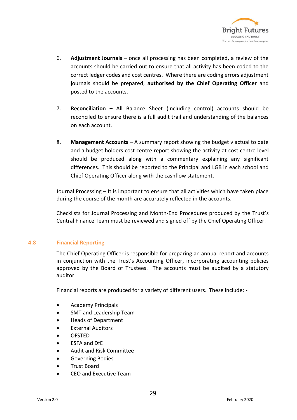

- 6. **Adjustment Journals** once all processing has been completed, a review of the accounts should be carried out to ensure that all activity has been coded to the correct ledger codes and cost centres. Where there are coding errors adjustment journals should be prepared, **authorised by the Chief Operating Officer** and posted to the accounts.
- 7. **Reconciliation –** All Balance Sheet (including control) accounts should be reconciled to ensure there is a full audit trail and understanding of the balances on each account.
- 8. **Management Accounts** A summary report showing the budget v actual to date and a budget holders cost centre report showing the activity at cost centre level should be produced along with a commentary explaining any significant differences. This should be reported to the Principal and LGB in each school and Chief Operating Officer along with the cashflow statement.

Journal Processing – It is important to ensure that all activities which have taken place during the course of the month are accurately reflected in the accounts.

Checklists for Journal Processing and Month-End Procedures produced by the Trust's Central Finance Team must be reviewed and signed off by the Chief Operating Officer.

## **4.8 Financial Reporting**

The Chief Operating Officer is responsible for preparing an annual report and accounts in conjunction with the Trust's Accounting Officer, incorporating accounting policies approved by the Board of Trustees. The accounts must be audited by a statutory auditor.

Financial reports are produced for a variety of different users. These include: -

- Academy Principals
- SMT and Leadership Team
- Heads of Department
- External Auditors
- OFSTED
- ESFA and DfE
- Audit and Risk Committee
- Governing Bodies
- Trust Board
- CEO and Executive Team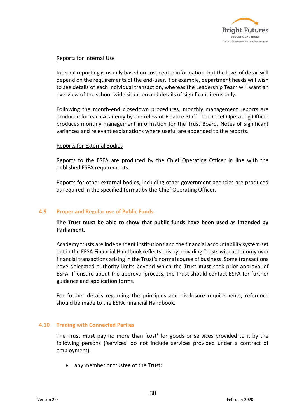

## Reports for Internal Use

Internal reporting is usually based on cost centre information, but the level of detail will depend on the requirements of the end-user. For example, department heads will wish to see details of each individual transaction, whereas the Leadership Team will want an overview of the school-wide situation and details of significant items only.

Following the month-end closedown procedures, monthly management reports are produced for each Academy by the relevant Finance Staff. The Chief Operating Officer produces monthly management information for the Trust Board. Notes of significant variances and relevant explanations where useful are appended to the reports.

### Reports for External Bodies

Reports to the ESFA are produced by the Chief Operating Officer in line with the published ESFA requirements.

Reports for other external bodies, including other government agencies are produced as required in the specified format by the Chief Operating Officer.

## **4.9 Proper and Regular use of Public Funds**

**The Trust must be able to show that public funds have been used as intended by Parliament.** 

Academy trusts are independent institutions and the financial accountability system set out in the EFSA Financial Handbook reflects this by providing Trusts with autonomy over financial transactions arising in the Trust's normal course of business. Some transactions have delegated authority limits beyond which the Trust **must** seek prior approval of ESFA. If unsure about the approval process, the Trust should contact ESFA for further guidance and application forms.

For further details regarding the principles and disclosure requirements, reference should be made to the ESFA Financial Handbook.

## **4.10 Trading with Connected Parties**

The Trust **must** pay no more than 'cost' for goods or services provided to it by the following persons ('services' do not include services provided under a contract of employment):

any member or trustee of the Trust;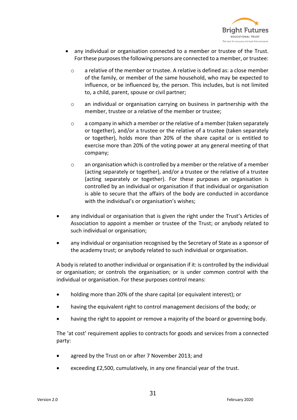

- any individual or organisation connected to a member or trustee of the Trust. For these purposes the following persons are connected to a member, or trustee:
	- o a relative of the member or trustee. A relative is defined as: a close member of the family, or member of the same household, who may be expected to influence, or be influenced by, the person. This includes, but is not limited to, a child, parent, spouse or civil partner;
	- o an individual or organisation carrying on business in partnership with the member, trustee or a relative of the member or trustee;
	- o a company in which a member or the relative of a member (taken separately or together), and/or a trustee or the relative of a trustee (taken separately or together), holds more than 20% of the share capital or is entitled to exercise more than 20% of the voting power at any general meeting of that company;
	- o an organisation which is controlled by a member or the relative of a member (acting separately or together), and/or a trustee or the relative of a trustee (acting separately or together). For these purposes an organisation is controlled by an individual or organisation if that individual or organisation is able to secure that the affairs of the body are conducted in accordance with the individual's or organisation's wishes;
- any individual or organisation that is given the right under the Trust's Articles of Association to appoint a member or trustee of the Trust; or anybody related to such individual or organisation;
- any individual or organisation recognised by the Secretary of State as a sponsor of the academy trust; or anybody related to such individual or organisation.

A body is related to another individual or organisation if it: is controlled by the individual or organisation; or controls the organisation; or is under common control with the individual or organisation. For these purposes control means:

- holding more than 20% of the share capital (or equivalent interest); or
- having the equivalent right to control management decisions of the body; or
- having the right to appoint or remove a majority of the board or governing body.

The 'at cost' requirement applies to contracts for goods and services from a connected party:

- agreed by the Trust on or after 7 November 2013; and
- exceeding £2,500, cumulatively, in any one financial year of the trust.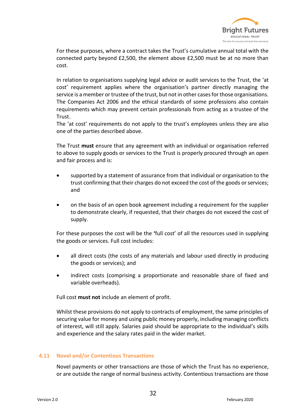

For these purposes, where a contract takes the Trust's cumulative annual total with the connected party beyond £2,500, the element above £2,500 must be at no more than cost.

In relation to organisations supplying legal advice or audit services to the Trust, the 'at cost' requirement applies where the organisation's partner directly managing the service is a member or trustee of the trust, but not in other cases for those organisations. The Companies Act 2006 and the ethical standards of some professions also contain requirements which may prevent certain professionals from acting as a trustee of the Trust.

The 'at cost' requirements do not apply to the trust's employees unless they are also one of the parties described above.

The Trust **must** ensure that any agreement with an individual or organisation referred to above to supply goods or services to the Trust is properly procured through an open and fair process and is:

- supported by a statement of assurance from that individual or organisation to the trust confirming that their charges do not exceed the cost of the goods or services; and
- on the basis of an open book agreement including a requirement for the supplier to demonstrate clearly, if requested, that their charges do not exceed the cost of supply.

For these purposes the cost will be the **'**full cost' of all the resources used in supplying the goods or services. Full cost includes:

- all direct costs (the costs of any materials and labour used directly in producing the goods or services); and
- indirect costs (comprising a proportionate and reasonable share of fixed and variable overheads).

Full cost **must not** include an element of profit.

Whilst these provisions do not apply to contracts of employment, the same principles of securing value for money and using public money properly, including managing conflicts of interest, will still apply. Salaries paid should be appropriate to the individual's skills and experience and the salary rates paid in the wider market.

## **4.11 Novel and/or Contentious Transactions**

Novel payments or other transactions are those of which the Trust has no experience, or are outside the range of normal business activity. Contentious transactions are those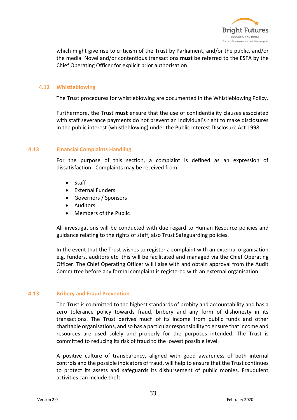

which might give rise to criticism of the Trust by Parliament, and/or the public, and/or the media. Novel and/or contentious transactions **must** be referred to the ESFA by the Chief Operating Officer for explicit prior authorisation.

## **4.12 Whistleblowing**

The Trust procedures for whistleblowing are documented in the Whistleblowing Policy.

Furthermore, the Trust **must** ensure that the use of confidentiality clauses associated with staff severance payments do not prevent an individual's right to make disclosures in the public interest (whistleblowing) under the Public Interest Disclosure Act 1998.

### **4.13 Financial Complaints Handling**

For the purpose of this section, a complaint is defined as an expression of dissatisfaction. Complaints may be received from;

- Staff
- External Funders
- Governors / Sponsors
- Auditors
- Members of the Public

All investigations will be conducted with due regard to Human Resource policies and guidance relating to the rights of staff; also Trust Safeguarding policies.

In the event that the Trust wishes to register a complaint with an external organisation e.g. funders, auditors etc. this will be facilitated and managed via the Chief Operating Officer. The Chief Operating Officer will liaise with and obtain approval from the Audit Committee before any formal complaint is registered with an external organisation.

## **4.13 Bribery and Fraud Prevention**

The Trust is committed to the highest standards of probity and accountability and has a zero tolerance policy towards fraud, bribery and any form of dishonesty in its transactions. The Trust derives much of its income from public funds and other charitable organisations, and so has a particular responsibility to ensure that income and resources are used solely and properly for the purposes intended. The Trust is committed to reducing its risk of fraud to the lowest possible level.

A positive culture of transparency, aligned with good awareness of both internal controls and the possible indicators of fraud, will help to ensure that the Trust continues to protect its assets and safeguards its disbursement of public monies. Fraudulent activities can include theft.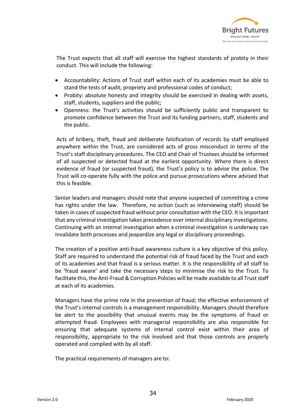

The Trust expects that all staff will exercise the highest standards of probity in their conduct. This will include the following:

- Accountability: Actions of Trust staff within each of its academies must be able to stand the tests of audit, propriety and professional codes of conduct;
- Probity: absolute honesty and integrity should be exercised in dealing with assets, staff, students, suppliers and the public;
- Openness: the Trust's activities should be sufficiently public and transparent to promote confidence between the Trust and its funding partners, staff, students and the public.

Acts of bribery, theft, fraud and deliberate falsification of records by staff employed anywhere within the Trust, are considered acts of gross misconduct in terms of the Trust's staff disciplinary procedures. The CEO and Chair of Trustees should be informed of all suspected or detected fraud at the earliest opportunity. Where there is direct evidence of fraud (or suspected fraud), the Trust's policy is to advise the police. The Trust will co-operate fully with the police and pursue prosecutions where advised that this is feasible.

Senior leaders and managers should note that anyone suspected of committing a crime has rights under the law. Therefore, no action (such as interviewing staff) should be taken in cases of suspected fraud without prior consultation with the CEO. It is important that any criminal investigation takes precedence over internal disciplinary investigations. Continuing with an internal investigation when a criminal investigation is underway can invalidate both processes and jeopardize any legal or disciplinary proceedings.

The creation of a positive anti-fraud awareness culture is a key objective of this policy. Staff are required to understand the potential risk of fraud faced by the Trust and each of its academies and that fraud is a serious matter. It is the responsibility of all staff to be 'fraud aware' and take the necessary steps to minimise the risk to the Trust. To facilitate this, the Anti-Fraud & Corruption Policies will be made available to all Trust staff at each of its academies.

Managers have the prime role in the prevention of fraud; the effective enforcement of the Trust's internal controls is a management responsibility. Managers should therefore be alert to the possibility that unusual events may be the symptoms of fraud or attempted fraud. Employees with managerial responsibility are also responsible for ensuring that adequate systems of internal control exist within their area of responsibility, appropriate to the risk involved and that those controls are properly operated and complied with by all staff.

The practical requirements of managers are to: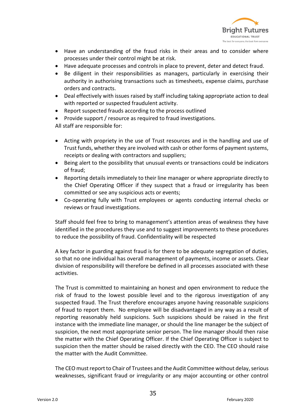

- Have an understanding of the fraud risks in their areas and to consider where processes under their control might be at risk.
- Have adequate processes and controls in place to prevent, deter and detect fraud.
- Be diligent in their responsibilities as managers, particularly in exercising their authority in authorising transactions such as timesheets, expense claims, purchase orders and contracts.
- Deal effectively with issues raised by staff including taking appropriate action to deal with reported or suspected fraudulent activity.
- Report suspected frauds according to the process outlined
- Provide support / resource as required to fraud investigations.

All staff are responsible for:

- Acting with propriety in the use of Trust resources and in the handling and use of Trust funds, whether they are involved with cash or other forms of payment systems, receipts or dealing with contractors and suppliers;
- Being alert to the possibility that unusual events or transactions could be indicators of fraud;
- Reporting details immediately to their line manager or where appropriate directly to the Chief Operating Officer if they suspect that a fraud or irregularity has been committed or see any suspicious acts or events;
- Co-operating fully with Trust employees or agents conducting internal checks or reviews or fraud investigations.

Staff should feel free to bring to management's attention areas of weakness they have identified in the procedures they use and to suggest improvements to these procedures to reduce the possibility of fraud. Confidentiality will be respected

A key factor in guarding against fraud is for there to be adequate segregation of duties, so that no one individual has overall management of payments, income or assets. Clear division of responsibility will therefore be defined in all processes associated with these activities.

The Trust is committed to maintaining an honest and open environment to reduce the risk of fraud to the lowest possible level and to the rigorous investigation of any suspected fraud. The Trust therefore encourages anyone having reasonable suspicions of fraud to report them. No employee will be disadvantaged in any way as a result of reporting reasonably held suspicions. Such suspicions should be raised in the first instance with the immediate line manager, or should the line manager be the subject of suspicion, the next most appropriate senior person. The line manager should then raise the matter with the Chief Operating Officer. If the Chief Operating Officer is subject to suspicion then the matter should be raised directly with the CEO. The CEO should raise the matter with the Audit Committee.

The CEO must report to Chair of Trustees and the Audit Committee without delay, serious weaknesses, significant fraud or irregularity or any major accounting or other control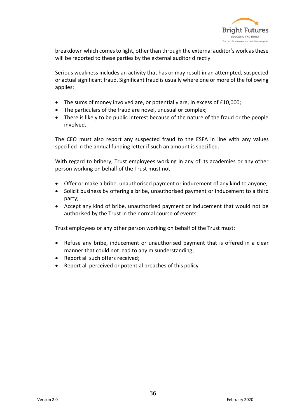

breakdown which comes to light, other than through the external auditor's work as these will be reported to these parties by the external auditor directly.

Serious weakness includes an activity that has or may result in an attempted, suspected or actual significant fraud. Significant fraud is usually where one or more of the following applies:

- The sums of money involved are, or potentially are, in excess of £10,000;
- The particulars of the fraud are novel, unusual or complex;
- There is likely to be public interest because of the nature of the fraud or the people involved.

The CEO must also report any suspected fraud to the ESFA in line with any values specified in the annual funding letter if such an amount is specified.

With regard to bribery, Trust employees working in any of its academies or any other person working on behalf of the Trust must not:

- Offer or make a bribe, unauthorised payment or inducement of any kind to anyone;
- Solicit business by offering a bribe, unauthorised payment or inducement to a third party;
- Accept any kind of bribe, unauthorised payment or inducement that would not be authorised by the Trust in the normal course of events.

Trust employees or any other person working on behalf of the Trust must:

- Refuse any bribe, inducement or unauthorised payment that is offered in a clear manner that could not lead to any misunderstanding;
- Report all such offers received;
- Report all perceived or potential breaches of this policy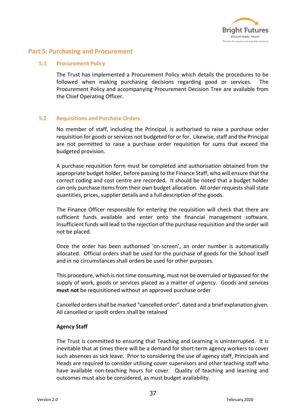

## **Part 5: Purchasing and Procurement**

## **5.1 Procurement Policy**

The Trust has implemented a Procurement Policy which details the procedures to be followed when making purchasing decisions regarding good or services. The Procurement Policy and accompanying Procurement Decision Tree are available from the Chief Operating Officer.

## **5.2 Requisitions and Purchase Orders**

No member of staff, including the Principal, is authorised to raise a purchase order requisition for goods or services not budgeted for or for. Likewise, staff and the Principal are not permitted to raise a purchase order requisition for sums that exceed the budgeted provision.

A purchase requisition form must be completed and authorisation obtained from the appropriate budget holder, before passing to the Finance Staff, who will ensure that the correct coding and cost centre are recorded. It should be noted that a budget holder can only purchase items from their own budget allocation. All order requests shall state quantities, prices, supplier details and a full description of the goods.

The Finance Officer responsible for entering the requisition will check that there are sufficient funds available and enter onto the financial management software. Insufficient funds will lead to the rejection of the purchase requisition and the order will not be placed.

Once the order has been authorised 'on-screen', an order number is automatically allocated. Official orders shall be used for the purchase of goods for the School itself and in no circumstances shall orders be used for other purposes.

This procedure, which is not time consuming, must not be overruled or bypassed for the supply of work, goods or services placed as a matter of urgency. Goods and services **must not** be requisitioned without an approved purchase order

Cancelled orders shall be marked "cancelled order", dated and a brief explanation given. All cancelled or spoilt orders shall be retained

## **Agency Staff**

The Trust is committed to ensuring that Teaching and Learning is uninterrupted. It is inevitable that at times there will be a demand for short-term agency workers to cover such absences as sick leave. Prior to considering the use of agency staff, Principals and Heads are required to consider utilising cover supervisors and other teaching staff who have available non-teaching hours for cover. Quality of teaching and learning and outcomes must also be considered, as must budget availability.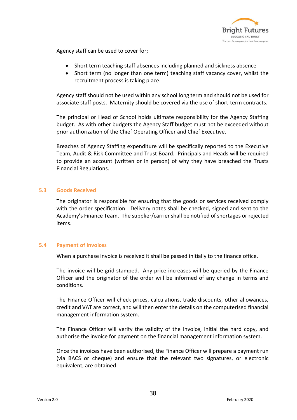

Agency staff can be used to cover for;

- Short term teaching staff absences including planned and sickness absence
- Short term (no longer than one term) teaching staff vacancy cover, whilst the recruitment process is taking place.

Agency staff should not be used within any school long term and should not be used for associate staff posts. Maternity should be covered via the use of short-term contracts.

The principal or Head of School holds ultimate responsibility for the Agency Staffing budget. As with other budgets the Agency Staff budget must not be exceeded without prior authorization of the Chief Operating Officer and Chief Executive.

Breaches of Agency Staffing expenditure will be specifically reported to the Executive Team, Audit & Risk Committee and Trust Board. Principals and Heads will be required to provide an account (written or in person) of why they have breached the Trusts Financial Regulations.

## **5.3 Goods Received**

The originator is responsible for ensuring that the goods or services received comply with the order specification. Delivery notes shall be checked, signed and sent to the Academy's Finance Team. The supplier/carrier shall be notified of shortages or rejected items.

## **5.4 Payment of Invoices**

When a purchase invoice is received it shall be passed initially to the finance office.

The invoice will be grid stamped. Any price increases will be queried by the Finance Officer and the originator of the order will be informed of any change in terms and conditions.

The Finance Officer will check prices, calculations, trade discounts, other allowances, credit and VAT are correct, and will then enter the details on the computerised financial management information system.

The Finance Officer will verify the validity of the invoice, initial the hard copy, and authorise the invoice for payment on the financial management information system.

Once the invoices have been authorised, the Finance Officer will prepare a payment run (via BACS or cheque) and ensure that the relevant two signatures, or electronic equivalent, are obtained.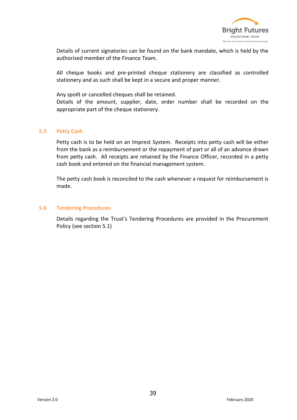

Details of current signatories can be found on the bank mandate, which is held by the authorised member of the Finance Team.

All cheque books and pre-printed cheque stationery are classified as controlled stationery and as such shall be kept in a secure and proper manner.

Any spoilt or cancelled cheques shall be retained.

Details of the amount, supplier, date, order number shall be recorded on the appropriate part of the cheque stationery.

### **5.5 Petty Cash**

Petty cash is to be held on an Imprest System. Receipts into petty cash will be either from the bank as a reimbursement or the repayment of part or all of an advance drawn from petty cash. All receipts are retained by the Finance Officer, recorded in a petty cash book and entered on the financial management system.

The petty cash book is reconciled to the cash whenever a request for reimbursement is made.

#### **5.6 Tendering Procedures**

Details regarding the Trust's Tendering Procedures are provided in the Procurement Policy (see section 5.1)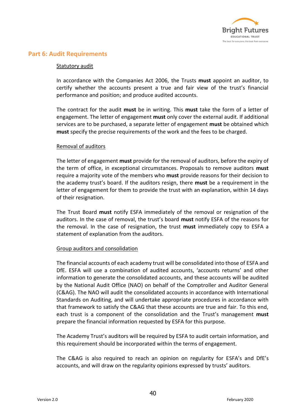

## **Part 6: Audit Requirements**

## Statutory audit

In accordance with the Companies Act 2006, the Trusts **must** appoint an auditor, to certify whether the accounts present a true and fair view of the trust's financial performance and position; and produce audited accounts.

The contract for the audit **must** be in writing. This **must** take the form of a letter of engagement. The letter of engagement **must** only cover the external audit. If additional services are to be purchased, a separate letter of engagement **must** be obtained which **must** specify the precise requirements of the work and the fees to be charged.

### Removal of auditors

The letter of engagement **must** provide for the removal of auditors, before the expiry of the term of office, in exceptional circumstances. Proposals to remove auditors **must**  require a majority vote of the members who **must** provide reasons for their decision to the academy trust's board. If the auditors resign, there **must** be a requirement in the letter of engagement for them to provide the trust with an explanation, within 14 days of their resignation.

The Trust Board **must** notify ESFA immediately of the removal or resignation of the auditors. In the case of removal, the trust's board **must** notify ESFA of the reasons for the removal. In the case of resignation, the trust **must** immediately copy to ESFA a statement of explanation from the auditors.

## Group auditors and consolidation

The financial accounts of each academy trust will be consolidated into those of ESFA and DfE. ESFA will use a combination of audited accounts, 'accounts returns' and other information to generate the consolidated accounts, and these accounts will be audited by the National Audit Office (NAO) on behalf of the Comptroller and Auditor General (C&AG). The NAO will audit the consolidated accounts in accordance with International Standards on Auditing, and will undertake appropriate procedures in accordance with that framework to satisfy the C&AG that these accounts are true and fair. To this end, each trust is a component of the consolidation and the Trust's management **must**  prepare the financial information requested by ESFA for this purpose.

The Academy Trust's auditors will be required by ESFA to audit certain information, and this requirement should be incorporated within the terms of engagement.

The C&AG is also required to reach an opinion on regularity for ESFA's and DfE's accounts, and will draw on the regularity opinions expressed by trusts' auditors.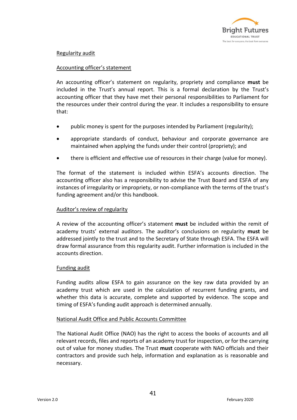

## Regularity audit

## Accounting officer's statement

An accounting officer's statement on regularity, propriety and compliance **must** be included in the Trust's annual report. This is a formal declaration by the Trust's accounting officer that they have met their personal responsibilities to Parliament for the resources under their control during the year. It includes a responsibility to ensure that:

- public money is spent for the purposes intended by Parliament (regularity);
- appropriate standards of conduct, behaviour and corporate governance are maintained when applying the funds under their control (propriety); and
- there is efficient and effective use of resources in their charge (value for money).

The format of the statement is included within ESFA's accounts direction. The accounting officer also has a responsibility to advise the Trust Board and ESFA of any instances of irregularity or impropriety, or non-compliance with the terms of the trust's funding agreement and/or this handbook.

## Auditor's review of regularity

A review of the accounting officer's statement **must** be included within the remit of academy trusts' external auditors. The auditor's conclusions on regularity **must** be addressed jointly to the trust and to the Secretary of State through ESFA. The ESFA will draw formal assurance from this regularity audit. Further information is included in the accounts direction.

## Funding audit

Funding audits allow ESFA to gain assurance on the key raw data provided by an academy trust which are used in the calculation of recurrent funding grants, and whether this data is accurate, complete and supported by evidence. The scope and timing of ESFA's funding audit approach is determined annually.

## National Audit Office and Public Accounts Committee

The National Audit Office (NAO) has the right to access the books of accounts and all relevant records, files and reports of an academy trust for inspection, or for the carrying out of value for money studies. The Trust **must** cooperate with NAO officials and their contractors and provide such help, information and explanation as is reasonable and necessary.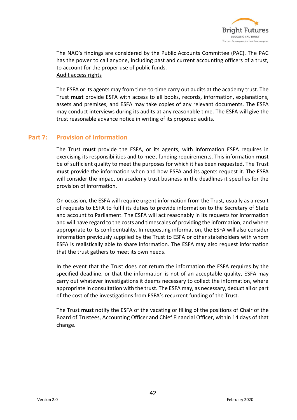

The NAO's findings are considered by the Public Accounts Committee (PAC). The PAC has the power to call anyone, including past and current accounting officers of a trust, to account for the proper use of public funds. Audit access rights

The ESFA or its agents may from time-to-time carry out audits at the academy trust. The Trust **must** provide ESFA with access to all books, records, information, explanations, assets and premises, and ESFA may take copies of any relevant documents. The ESFA may conduct interviews during its audits at any reasonable time. The ESFA will give the trust reasonable advance notice in writing of its proposed audits.

## **Part 7: Provision of Information**

The Trust **must** provide the ESFA, or its agents, with information ESFA requires in exercising its responsibilities and to meet funding requirements. This information **must**  be of sufficient quality to meet the purposes for which it has been requested. The Trust **must** provide the information when and how ESFA and its agents request it. The ESFA will consider the impact on academy trust business in the deadlines it specifies for the provision of information.

On occasion, the ESFA will require urgent information from the Trust, usually as a result of requests to ESFA to fulfil its duties to provide information to the Secretary of State and account to Parliament. The ESFA will act reasonably in its requests for information and will have regard to the costs and timescales of providing the information, and where appropriate to its confidentiality. In requesting information, the ESFA will also consider information previously supplied by the Trust to ESFA or other stakeholders with whom ESFA is realistically able to share information. The ESFA may also request information that the trust gathers to meet its own needs.

In the event that the Trust does not return the information the ESFA requires by the specified deadline, or that the information is not of an acceptable quality, ESFA may carry out whatever investigations it deems necessary to collect the information, where appropriate in consultation with the trust. The ESFA may, as necessary, deduct all or part of the cost of the investigations from ESFA's recurrent funding of the Trust.

The Trust **must** notify the ESFA of the vacating or filling of the positions of Chair of the Board of Trustees, Accounting Officer and Chief Financial Officer, within 14 days of that change.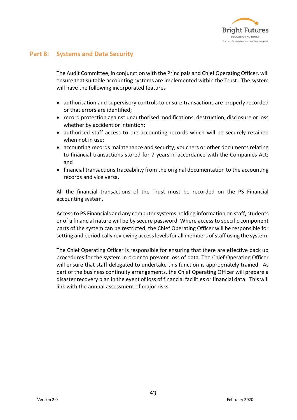

# **Part 8: Systems and Data Security**

The Audit Committee, in conjunction with the Principals and Chief Operating Officer, will ensure that suitable accounting systems are implemented within the Trust. The system will have the following incorporated features

- authorisation and supervisory controls to ensure transactions are properly recorded or that errors are identified;
- record protection against unauthorised modifications, destruction, disclosure or loss whether by accident or intention;
- authorised staff access to the accounting records which will be securely retained when not in use;
- accounting records maintenance and security; vouchers or other documents relating to financial transactions stored for 7 years in accordance with the Companies Act; and
- financial transactions traceability from the original documentation to the accounting records and vice versa.

All the financial transactions of the Trust must be recorded on the PS Financial accounting system.

Access to PS Financials and any computer systems holding information on staff, students or of a financial nature will be by secure password. Where access to specific component parts of the system can be restricted, the Chief Operating Officer will be responsible for setting and periodically reviewing access levels for all members of staff using the system.

The Chief Operating Officer is responsible for ensuring that there are effective back up procedures for the system in order to prevent loss of data. The Chief Operating Officer will ensure that staff delegated to undertake this function is appropriately trained. As part of the business continuity arrangements, the Chief Operating Officer will prepare a disaster recovery plan in the event of loss of financial facilities or financial data. This will link with the annual assessment of major risks.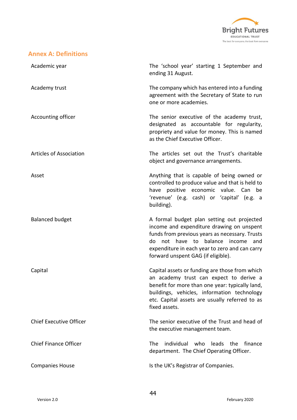

# **Annex A: Definitions**

| Academic year                  | The 'school year' starting 1 September and<br>ending 31 August.                                                                                                                                                                                                                 |
|--------------------------------|---------------------------------------------------------------------------------------------------------------------------------------------------------------------------------------------------------------------------------------------------------------------------------|
| Academy trust                  | The company which has entered into a funding<br>agreement with the Secretary of State to run<br>one or more academies.                                                                                                                                                          |
| Accounting officer             | The senior executive of the academy trust,<br>designated as accountable for regularity,<br>propriety and value for money. This is named<br>as the Chief Executive Officer.                                                                                                      |
| <b>Articles of Association</b> | The articles set out the Trust's charitable<br>object and governance arrangements.                                                                                                                                                                                              |
| Asset                          | Anything that is capable of being owned or<br>controlled to produce value and that is held to<br>have positive economic value. Can be<br>'revenue' (e.g. cash) or 'capital' (e.g. a<br>building).                                                                               |
| <b>Balanced budget</b>         | A formal budget plan setting out projected<br>income and expenditure drawing on unspent<br>funds from previous years as necessary. Trusts<br>do not have to<br>balance<br>income<br>and<br>expenditure in each year to zero and can carry<br>forward unspent GAG (if eligible). |
| Capital                        | Capital assets or funding are those from which<br>an academy trust can expect to derive a<br>benefit for more than one year: typically land,<br>buildings, vehicles, information technology<br>etc. Capital assets are usually referred to as<br>fixed assets.                  |
| <b>Chief Executive Officer</b> | The senior executive of the Trust and head of<br>the executive management team.                                                                                                                                                                                                 |
| <b>Chief Finance Officer</b>   | individual who<br>leads the<br>finance<br>The<br>department. The Chief Operating Officer.                                                                                                                                                                                       |
| <b>Companies House</b>         | Is the UK's Registrar of Companies.                                                                                                                                                                                                                                             |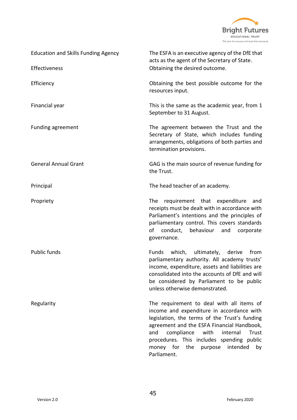

| <b>Education and Skills Funding Agency</b> | The ESFA is an executive agency of the DfE that<br>acts as the agent of the Secretary of State.<br>Obtaining the desired outcome.                                                                                                                                                                                                                    |  |
|--------------------------------------------|------------------------------------------------------------------------------------------------------------------------------------------------------------------------------------------------------------------------------------------------------------------------------------------------------------------------------------------------------|--|
| Effectiveness                              |                                                                                                                                                                                                                                                                                                                                                      |  |
| Efficiency                                 | Obtaining the best possible outcome for the<br>resources input.                                                                                                                                                                                                                                                                                      |  |
| Financial year                             | This is the same as the academic year, from 1<br>September to 31 August.                                                                                                                                                                                                                                                                             |  |
| Funding agreement                          | The agreement between the Trust and the<br>Secretary of State, which includes funding<br>arrangements, obligations of both parties and<br>termination provisions.                                                                                                                                                                                    |  |
| <b>General Annual Grant</b>                | GAG is the main source of revenue funding for<br>the Trust.                                                                                                                                                                                                                                                                                          |  |
| Principal                                  | The head teacher of an academy.                                                                                                                                                                                                                                                                                                                      |  |
| Propriety                                  | requirement that expenditure<br>The<br>and<br>receipts must be dealt with in accordance with<br>Parliament's intentions and the principles of<br>parliamentary control. This covers standards<br>conduct,<br>οf<br>behaviour<br>and<br>corporate<br>governance.                                                                                      |  |
| <b>Public funds</b>                        | Funds<br>which, ultimately, derive<br>from<br>parliamentary authority. All academy trusts'<br>income, expenditure, assets and liabilities are<br>consolidated into the accounts of DfE and will<br>be considered by Parliament to be public<br>unless otherwise demonstrated.                                                                        |  |
| Regularity                                 | The requirement to deal with all items of<br>income and expenditure in accordance with<br>legislation, the terms of the Trust's funding<br>agreement and the ESFA Financial Handbook,<br>and<br>compliance<br>with<br>internal<br>Trust<br>procedures. This includes spending public<br>the<br>money for<br>purpose<br>intended<br>by<br>Parliament. |  |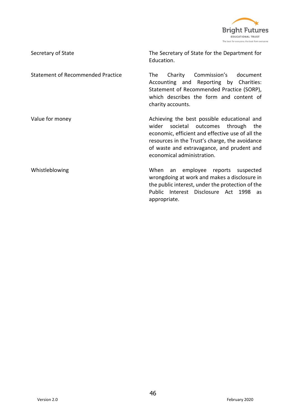

| Secretary of State                       | The Secretary of State for the Department for<br>Education.                                                                                                                                                                                                                |
|------------------------------------------|----------------------------------------------------------------------------------------------------------------------------------------------------------------------------------------------------------------------------------------------------------------------------|
| <b>Statement of Recommended Practice</b> | Commission's<br>Charity<br>document<br>The l<br>Accounting and Reporting by Charities:<br>Statement of Recommended Practice (SORP),<br>which describes the form and content of<br>charity accounts.                                                                        |
| Value for money                          | Achieving the best possible educational and<br>wider<br>societal outcomes through<br>the<br>economic, efficient and effective use of all the<br>resources in the Trust's charge, the avoidance<br>of waste and extravagance, and prudent and<br>economical administration. |
| Whistleblowing                           | employee reports suspected<br>When<br>an<br>wrongdoing at work and makes a disclosure in<br>the public interest, under the protection of the<br>Public Interest Disclosure Act 1998<br>as -<br>appropriate.                                                                |